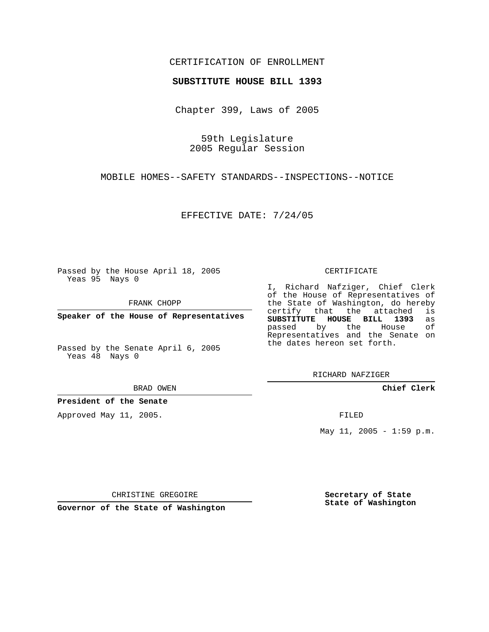## CERTIFICATION OF ENROLLMENT

### **SUBSTITUTE HOUSE BILL 1393**

Chapter 399, Laws of 2005

59th Legislature 2005 Regular Session

MOBILE HOMES--SAFETY STANDARDS--INSPECTIONS--NOTICE

EFFECTIVE DATE: 7/24/05

Passed by the House April 18, 2005 Yeas 95 Nays 0

FRANK CHOPP

**Speaker of the House of Representatives**

Passed by the Senate April 6, 2005 Yeas 48 Nays 0

BRAD OWEN

**President of the Senate**

Approved May 11, 2005.

CERTIFICATE

I, Richard Nafziger, Chief Clerk of the House of Representatives of the State of Washington, do hereby<br>certify that the attached is certify that the attached **SUBSTITUTE HOUSE BILL 1393** as passed by the House of Representatives and the Senate on the dates hereon set forth.

RICHARD NAFZIGER

**Chief Clerk**

FILED

May 11, 2005 - 1:59 p.m.

CHRISTINE GREGOIRE

**Governor of the State of Washington**

**Secretary of State State of Washington**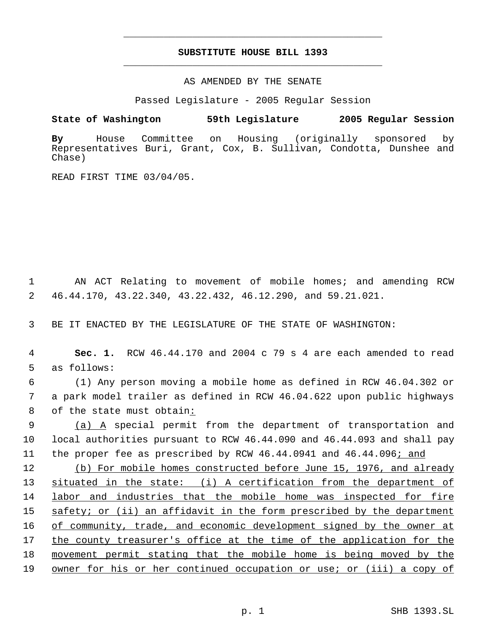# **SUBSTITUTE HOUSE BILL 1393** \_\_\_\_\_\_\_\_\_\_\_\_\_\_\_\_\_\_\_\_\_\_\_\_\_\_\_\_\_\_\_\_\_\_\_\_\_\_\_\_\_\_\_\_\_

\_\_\_\_\_\_\_\_\_\_\_\_\_\_\_\_\_\_\_\_\_\_\_\_\_\_\_\_\_\_\_\_\_\_\_\_\_\_\_\_\_\_\_\_\_

### AS AMENDED BY THE SENATE

Passed Legislature - 2005 Regular Session

### **State of Washington 59th Legislature 2005 Regular Session**

**By** House Committee on Housing (originally sponsored by Representatives Buri, Grant, Cox, B. Sullivan, Condotta, Dunshee and Chase)

READ FIRST TIME 03/04/05.

 1 AN ACT Relating to movement of mobile homes; and amending RCW 2 46.44.170, 43.22.340, 43.22.432, 46.12.290, and 59.21.021.

3 BE IT ENACTED BY THE LEGISLATURE OF THE STATE OF WASHINGTON:

 4 **Sec. 1.** RCW 46.44.170 and 2004 c 79 s 4 are each amended to read 5 as follows:

 6 (1) Any person moving a mobile home as defined in RCW 46.04.302 or 7 a park model trailer as defined in RCW 46.04.622 upon public highways 8 of the state must obtain:

9 (a) A special permit from the department of transportation and 10 local authorities pursuant to RCW 46.44.090 and 46.44.093 and shall pay 11 the proper fee as prescribed by RCW 46.44.0941 and 46.44.096; and

12 (b) For mobile homes constructed before June 15, 1976, and already 13 situated in the state: (i) A certification from the department of labor and industries that the mobile home was inspected for fire safety; or (ii) an affidavit in the form prescribed by the department 16 of community, trade, and economic development signed by the owner at the county treasurer's office at the time of the application for the movement permit stating that the mobile home is being moved by the owner for his or her continued occupation or use; or (iii) a copy of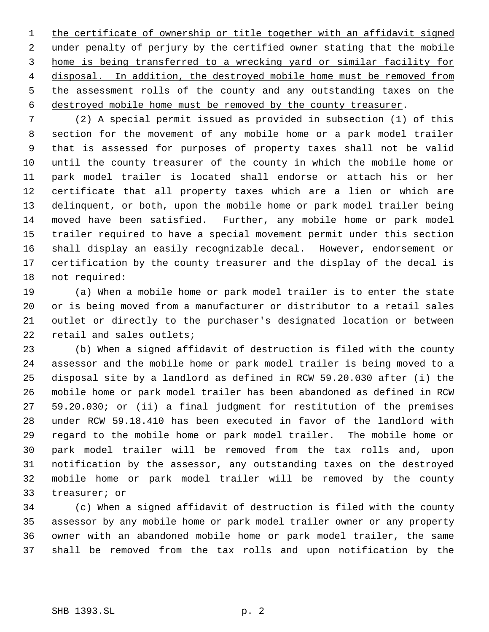1 the certificate of ownership or title together with an affidavit signed 2 under penalty of perjury by the certified owner stating that the mobile home is being transferred to a wrecking yard or similar facility for 4 disposal. In addition, the destroyed mobile home must be removed from 5 the assessment rolls of the county and any outstanding taxes on the destroyed mobile home must be removed by the county treasurer.

 (2) A special permit issued as provided in subsection (1) of this section for the movement of any mobile home or a park model trailer that is assessed for purposes of property taxes shall not be valid until the county treasurer of the county in which the mobile home or park model trailer is located shall endorse or attach his or her certificate that all property taxes which are a lien or which are delinquent, or both, upon the mobile home or park model trailer being moved have been satisfied. Further, any mobile home or park model trailer required to have a special movement permit under this section shall display an easily recognizable decal. However, endorsement or certification by the county treasurer and the display of the decal is not required:

 (a) When a mobile home or park model trailer is to enter the state or is being moved from a manufacturer or distributor to a retail sales outlet or directly to the purchaser's designated location or between 22 retail and sales outlets;

 (b) When a signed affidavit of destruction is filed with the county assessor and the mobile home or park model trailer is being moved to a disposal site by a landlord as defined in RCW 59.20.030 after (i) the mobile home or park model trailer has been abandoned as defined in RCW 59.20.030; or (ii) a final judgment for restitution of the premises under RCW 59.18.410 has been executed in favor of the landlord with regard to the mobile home or park model trailer. The mobile home or park model trailer will be removed from the tax rolls and, upon notification by the assessor, any outstanding taxes on the destroyed mobile home or park model trailer will be removed by the county treasurer; or

 (c) When a signed affidavit of destruction is filed with the county assessor by any mobile home or park model trailer owner or any property owner with an abandoned mobile home or park model trailer, the same shall be removed from the tax rolls and upon notification by the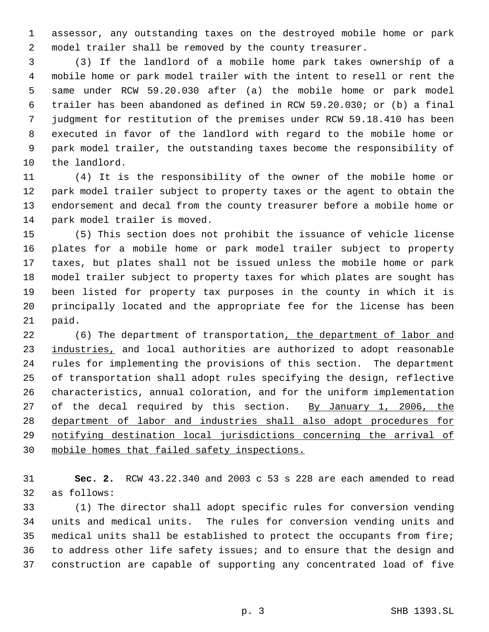assessor, any outstanding taxes on the destroyed mobile home or park model trailer shall be removed by the county treasurer.

 (3) If the landlord of a mobile home park takes ownership of a mobile home or park model trailer with the intent to resell or rent the same under RCW 59.20.030 after (a) the mobile home or park model trailer has been abandoned as defined in RCW 59.20.030; or (b) a final judgment for restitution of the premises under RCW 59.18.410 has been executed in favor of the landlord with regard to the mobile home or park model trailer, the outstanding taxes become the responsibility of the landlord.

 (4) It is the responsibility of the owner of the mobile home or park model trailer subject to property taxes or the agent to obtain the endorsement and decal from the county treasurer before a mobile home or park model trailer is moved.

 (5) This section does not prohibit the issuance of vehicle license plates for a mobile home or park model trailer subject to property taxes, but plates shall not be issued unless the mobile home or park model trailer subject to property taxes for which plates are sought has been listed for property tax purposes in the county in which it is principally located and the appropriate fee for the license has been paid.

22 (6) The department of transportation, the department of labor and 23 industries, and local authorities are authorized to adopt reasonable rules for implementing the provisions of this section. The department of transportation shall adopt rules specifying the design, reflective characteristics, annual coloration, and for the uniform implementation 27 of the decal required by this section. By January 1, 2006, the department of labor and industries shall also adopt procedures for notifying destination local jurisdictions concerning the arrival of mobile homes that failed safety inspections.

 **Sec. 2.** RCW 43.22.340 and 2003 c 53 s 228 are each amended to read as follows:

 (1) The director shall adopt specific rules for conversion vending units and medical units. The rules for conversion vending units and medical units shall be established to protect the occupants from fire; to address other life safety issues; and to ensure that the design and construction are capable of supporting any concentrated load of five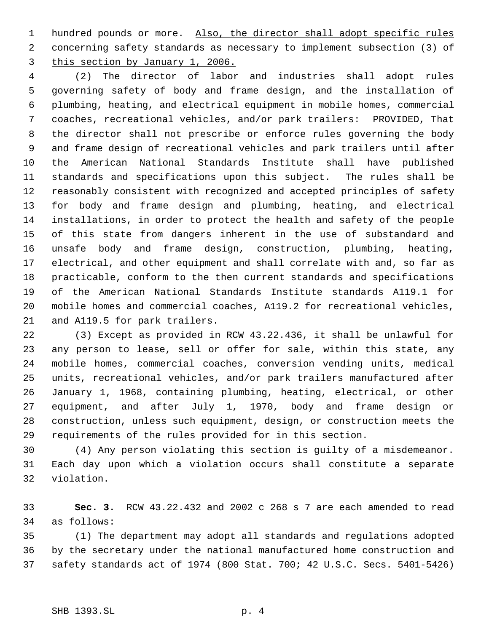1 hundred pounds or more. Also, the director shall adopt specific rules 2 concerning safety standards as necessary to implement subsection (3) of this section by January 1, 2006.

 (2) The director of labor and industries shall adopt rules governing safety of body and frame design, and the installation of plumbing, heating, and electrical equipment in mobile homes, commercial coaches, recreational vehicles, and/or park trailers: PROVIDED, That the director shall not prescribe or enforce rules governing the body and frame design of recreational vehicles and park trailers until after the American National Standards Institute shall have published standards and specifications upon this subject. The rules shall be reasonably consistent with recognized and accepted principles of safety for body and frame design and plumbing, heating, and electrical installations, in order to protect the health and safety of the people of this state from dangers inherent in the use of substandard and unsafe body and frame design, construction, plumbing, heating, electrical, and other equipment and shall correlate with and, so far as practicable, conform to the then current standards and specifications of the American National Standards Institute standards A119.1 for mobile homes and commercial coaches, A119.2 for recreational vehicles, and A119.5 for park trailers.

 (3) Except as provided in RCW 43.22.436, it shall be unlawful for any person to lease, sell or offer for sale, within this state, any mobile homes, commercial coaches, conversion vending units, medical units, recreational vehicles, and/or park trailers manufactured after January 1, 1968, containing plumbing, heating, electrical, or other equipment, and after July 1, 1970, body and frame design or construction, unless such equipment, design, or construction meets the requirements of the rules provided for in this section.

 (4) Any person violating this section is guilty of a misdemeanor. Each day upon which a violation occurs shall constitute a separate violation.

 **Sec. 3.** RCW 43.22.432 and 2002 c 268 s 7 are each amended to read as follows:

 (1) The department may adopt all standards and regulations adopted by the secretary under the national manufactured home construction and safety standards act of 1974 (800 Stat. 700; 42 U.S.C. Secs. 5401-5426)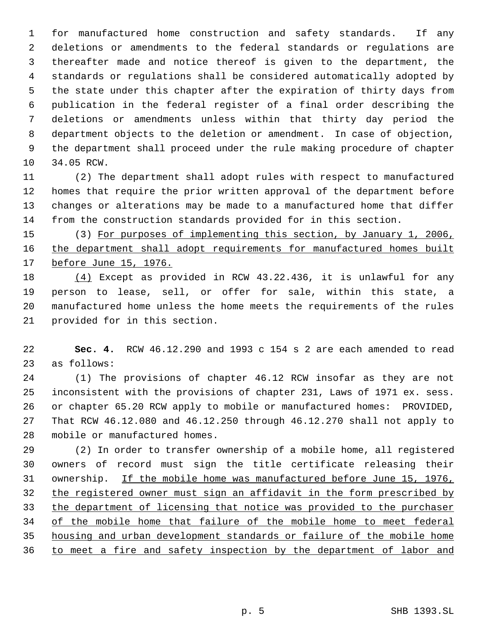for manufactured home construction and safety standards. If any deletions or amendments to the federal standards or regulations are thereafter made and notice thereof is given to the department, the standards or regulations shall be considered automatically adopted by the state under this chapter after the expiration of thirty days from publication in the federal register of a final order describing the deletions or amendments unless within that thirty day period the department objects to the deletion or amendment. In case of objection, the department shall proceed under the rule making procedure of chapter 34.05 RCW.

 (2) The department shall adopt rules with respect to manufactured homes that require the prior written approval of the department before changes or alterations may be made to a manufactured home that differ from the construction standards provided for in this section.

 (3) For purposes of implementing this section, by January 1, 2006, 16 the department shall adopt requirements for manufactured homes built 17 before June 15, 1976.

 (4) Except as provided in RCW 43.22.436, it is unlawful for any person to lease, sell, or offer for sale, within this state, a manufactured home unless the home meets the requirements of the rules provided for in this section.

 **Sec. 4.** RCW 46.12.290 and 1993 c 154 s 2 are each amended to read as follows:

 (1) The provisions of chapter 46.12 RCW insofar as they are not inconsistent with the provisions of chapter 231, Laws of 1971 ex. sess. or chapter 65.20 RCW apply to mobile or manufactured homes: PROVIDED, That RCW 46.12.080 and 46.12.250 through 46.12.270 shall not apply to mobile or manufactured homes.

 (2) In order to transfer ownership of a mobile home, all registered owners of record must sign the title certificate releasing their ownership. If the mobile home was manufactured before June 15, 1976, the registered owner must sign an affidavit in the form prescribed by 33 the department of licensing that notice was provided to the purchaser 34 of the mobile home that failure of the mobile home to meet federal housing and urban development standards or failure of the mobile home to meet a fire and safety inspection by the department of labor and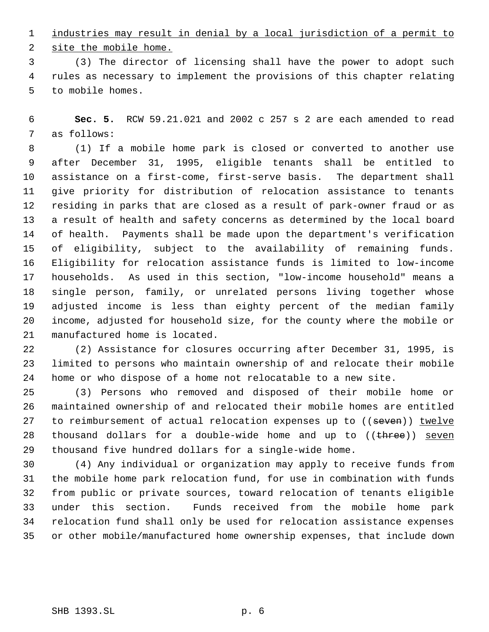industries may result in denial by a local jurisdiction of a permit to

site the mobile home.

 (3) The director of licensing shall have the power to adopt such rules as necessary to implement the provisions of this chapter relating to mobile homes.

 **Sec. 5.** RCW 59.21.021 and 2002 c 257 s 2 are each amended to read as follows:

 (1) If a mobile home park is closed or converted to another use after December 31, 1995, eligible tenants shall be entitled to assistance on a first-come, first-serve basis. The department shall give priority for distribution of relocation assistance to tenants residing in parks that are closed as a result of park-owner fraud or as a result of health and safety concerns as determined by the local board of health. Payments shall be made upon the department's verification of eligibility, subject to the availability of remaining funds. Eligibility for relocation assistance funds is limited to low-income households. As used in this section, "low-income household" means a single person, family, or unrelated persons living together whose adjusted income is less than eighty percent of the median family income, adjusted for household size, for the county where the mobile or manufactured home is located.

 (2) Assistance for closures occurring after December 31, 1995, is limited to persons who maintain ownership of and relocate their mobile home or who dispose of a home not relocatable to a new site.

 (3) Persons who removed and disposed of their mobile home or maintained ownership of and relocated their mobile homes are entitled 27 to reimbursement of actual relocation expenses up to ((seven)) twelve 28 thousand dollars for a double-wide home and up to  $((*three*))$  seven thousand five hundred dollars for a single-wide home.

 (4) Any individual or organization may apply to receive funds from the mobile home park relocation fund, for use in combination with funds from public or private sources, toward relocation of tenants eligible under this section. Funds received from the mobile home park relocation fund shall only be used for relocation assistance expenses or other mobile/manufactured home ownership expenses, that include down